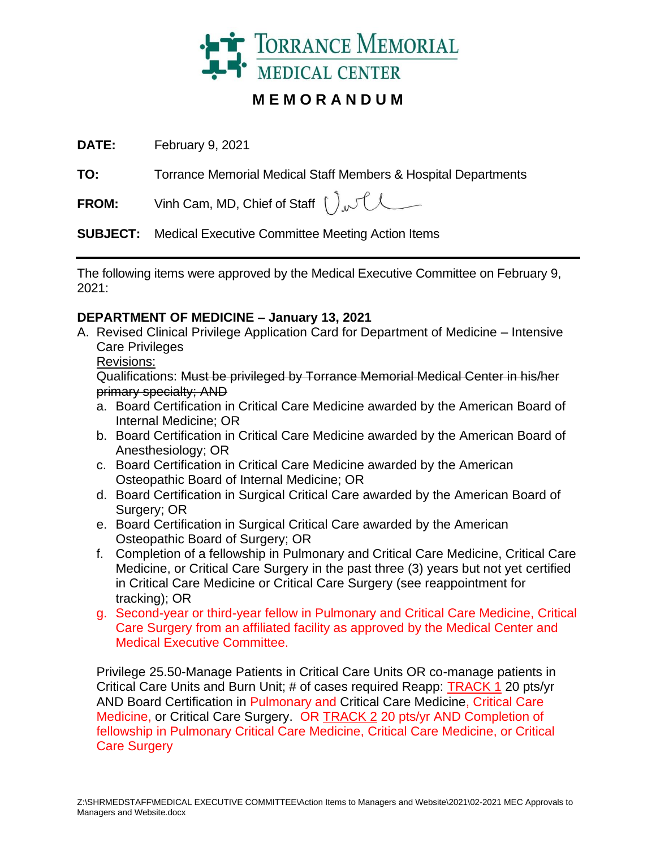

# **M E M O R A N D U M**

**DATE:** February 9, 2021

**TO:** Torrance Memorial Medical Staff Members & Hospital Departments

**FROM:** Vinh Cam, MD, Chief of Staff  $\int_{\Lambda}$ 

**SUBJECT:** Medical Executive Committee Meeting Action Items

The following items were approved by the Medical Executive Committee on February 9, 2021:

### **DEPARTMENT OF MEDICINE – January 13, 2021**

- A. Revised Clinical Privilege Application Card for Department of Medicine Intensive Care Privileges
	- Revisions:

Qualifications: Must be privileged by Torrance Memorial Medical Center in his/her primary specialty; AND

- a. Board Certification in Critical Care Medicine awarded by the American Board of Internal Medicine; OR
- b. Board Certification in Critical Care Medicine awarded by the American Board of Anesthesiology; OR
- c. Board Certification in Critical Care Medicine awarded by the American Osteopathic Board of Internal Medicine; OR
- d. Board Certification in Surgical Critical Care awarded by the American Board of Surgery; OR
- e. Board Certification in Surgical Critical Care awarded by the American Osteopathic Board of Surgery; OR
- f. Completion of a fellowship in Pulmonary and Critical Care Medicine, Critical Care Medicine, or Critical Care Surgery in the past three (3) years but not yet certified in Critical Care Medicine or Critical Care Surgery (see reappointment for tracking); OR
- g. Second-year or third-year fellow in Pulmonary and Critical Care Medicine, Critical Care Surgery from an affiliated facility as approved by the Medical Center and Medical Executive Committee.

Privilege 25.50-Manage Patients in Critical Care Units OR co-manage patients in Critical Care Units and Burn Unit; # of cases required Reapp: TRACK 1 20 pts/yr AND Board Certification in Pulmonary and Critical Care Medicine, Critical Care Medicine, or Critical Care Surgery. OR TRACK 2 20 pts/yr AND Completion of fellowship in Pulmonary Critical Care Medicine, Critical Care Medicine, or Critical Care Surgery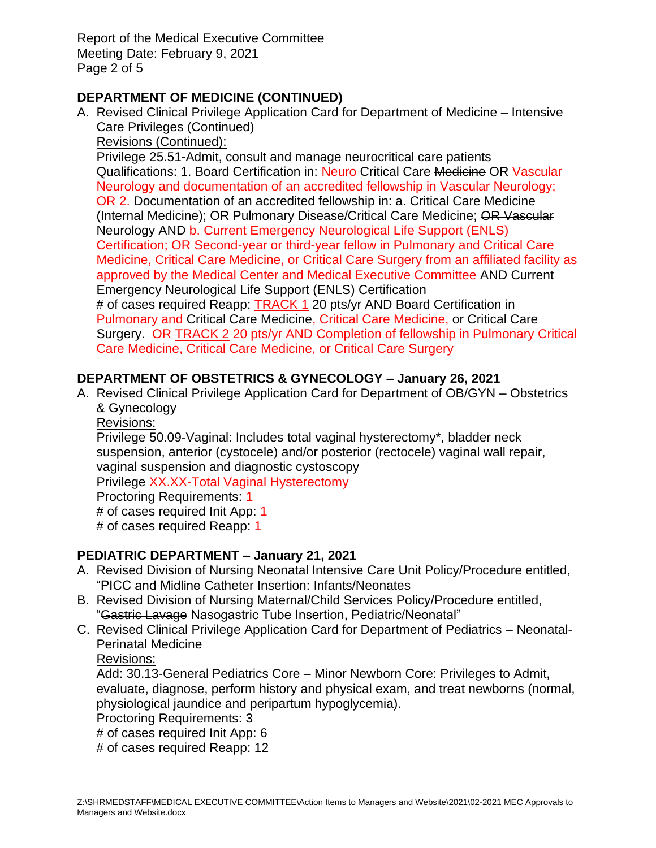Report of the Medical Executive Committee Meeting Date: February 9, 2021 Page 2 of 5

### **DEPARTMENT OF MEDICINE (CONTINUED)**

A. Revised Clinical Privilege Application Card for Department of Medicine – Intensive Care Privileges (Continued)

Revisions (Continued):

Privilege 25.51-Admit, consult and manage neurocritical care patients Qualifications: 1. Board Certification in: Neuro Critical Care Medicine OR Vascular Neurology and documentation of an accredited fellowship in Vascular Neurology; OR 2. Documentation of an accredited fellowship in: a. Critical Care Medicine (Internal Medicine); OR Pulmonary Disease/Critical Care Medicine; OR Vascular Neurology AND b. Current Emergency Neurological Life Support (ENLS) Certification; OR Second-year or third-year fellow in Pulmonary and Critical Care Medicine, Critical Care Medicine, or Critical Care Surgery from an affiliated facility as approved by the Medical Center and Medical Executive Committee AND Current Emergency Neurological Life Support (ENLS) Certification # of cases required Reapp: TRACK 1 20 pts/yr AND Board Certification in Pulmonary and Critical Care Medicine, Critical Care Medicine, or Critical Care Surgery. OR TRACK 2 20 pts/yr AND Completion of fellowship in Pulmonary Critical Care Medicine, Critical Care Medicine, or Critical Care Surgery

### **DEPARTMENT OF OBSTETRICS & GYNECOLOGY – January 26, 2021**

A. Revised Clinical Privilege Application Card for Department of OB/GYN – Obstetrics & Gynecology

Revisions:

Privilege 50.09-Vaginal: Includes total vaginal hysterectomy\*, bladder neck suspension, anterior (cystocele) and/or posterior (rectocele) vaginal wall repair, vaginal suspension and diagnostic cystoscopy

Privilege XX.XX-Total Vaginal Hysterectomy

Proctoring Requirements: 1

# of cases required Init App: 1

# of cases required Reapp: 1

# **PEDIATRIC DEPARTMENT – January 21, 2021**

- A. Revised Division of Nursing Neonatal Intensive Care Unit Policy/Procedure entitled, "PICC and Midline Catheter Insertion: Infants/Neonates
- B. Revised Division of Nursing Maternal/Child Services Policy/Procedure entitled, "Gastric Lavage Nasogastric Tube Insertion, Pediatric/Neonatal"
- C. Revised Clinical Privilege Application Card for Department of Pediatrics Neonatal-Perinatal Medicine

Revisions:

Add: 30.13-General Pediatrics Core – Minor Newborn Core: Privileges to Admit, evaluate, diagnose, perform history and physical exam, and treat newborns (normal, physiological jaundice and peripartum hypoglycemia).

Proctoring Requirements: 3

# of cases required Init App: 6

# of cases required Reapp: 12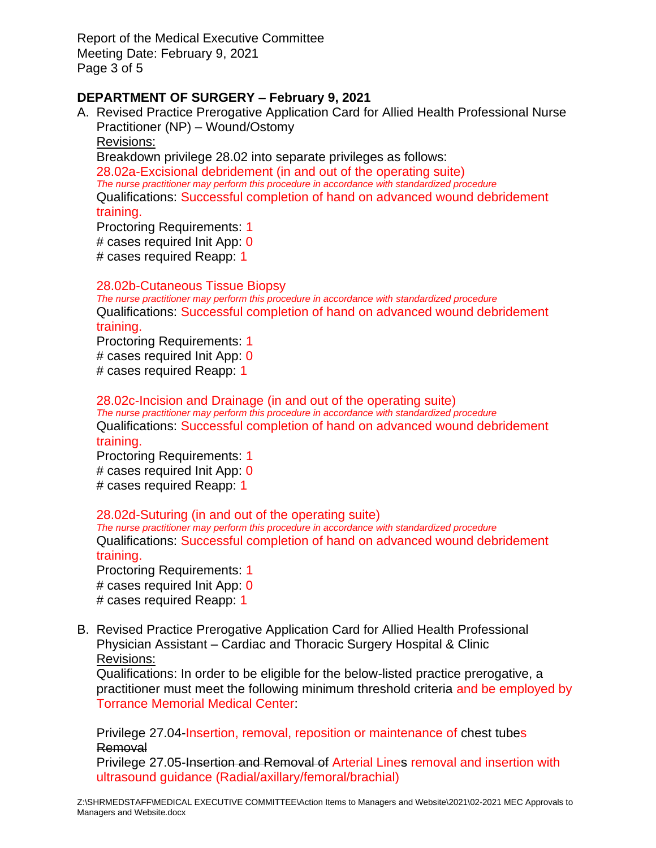Report of the Medical Executive Committee Meeting Date: February 9, 2021 Page 3 of 5

### **DEPARTMENT OF SURGERY – February 9, 2021**

A. Revised Practice Prerogative Application Card for Allied Health Professional Nurse Practitioner (NP) – Wound/Ostomy Revisions: Breakdown privilege 28.02 into separate privileges as follows: 28.02a-Excisional debridement (in and out of the operating suite) *The nurse practitioner may perform this procedure in accordance with standardized procedure* Qualifications: Successful completion of hand on advanced wound debridement training. Proctoring Requirements: 1

# cases required Init App: 0

# cases required Reapp: 1

#### 28.02b-Cutaneous Tissue Biopsy

*The nurse practitioner may perform this procedure in accordance with standardized procedure* Qualifications: Successful completion of hand on advanced wound debridement training.

Proctoring Requirements: 1 # cases required Init App: 0 # cases required Reapp: 1

28.02c-Incision and Drainage (in and out of the operating suite) *The nurse practitioner may perform this procedure in accordance with standardized procedure* Qualifications: Successful completion of hand on advanced wound debridement training.

Proctoring Requirements: 1 # cases required Init App: 0 # cases required Reapp: 1

#### 28.02d-Suturing (in and out of the operating suite)

*The nurse practitioner may perform this procedure in accordance with standardized procedure* Qualifications: Successful completion of hand on advanced wound debridement training.

Proctoring Requirements: 1 # cases required Init App: 0 # cases required Reapp: 1

B. Revised Practice Prerogative Application Card for Allied Health Professional Physician Assistant – Cardiac and Thoracic Surgery Hospital & Clinic Revisions:

Qualifications: In order to be eligible for the below-listed practice prerogative, a practitioner must meet the following minimum threshold criteria and be employed by Torrance Memorial Medical Center:

Privilege 27.04-Insertion, removal, reposition or maintenance of chest tubes **Removal** 

Privilege 27.05-Insertion and Removal of Arterial Lines removal and insertion with ultrasound guidance (Radial/axillary/femoral/brachial)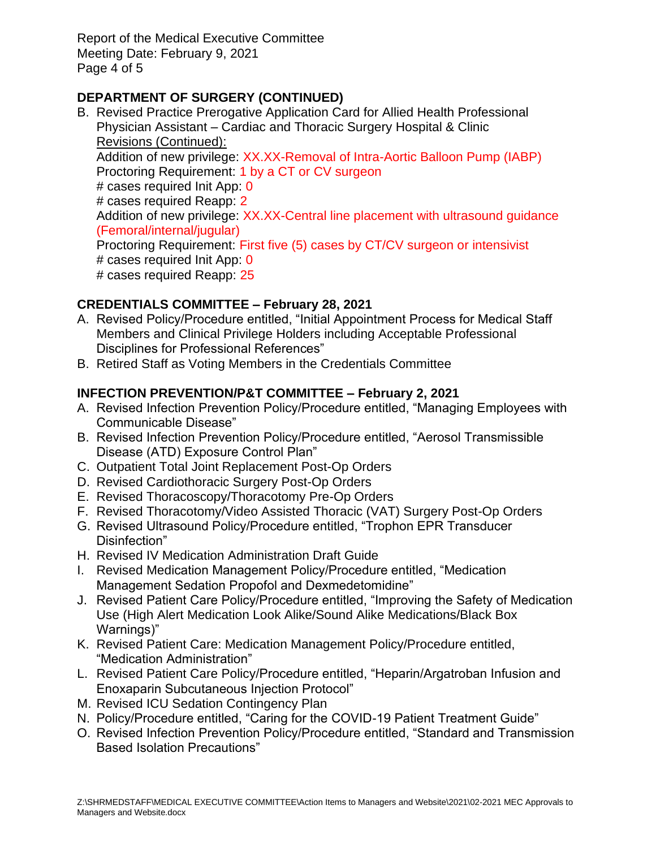Report of the Medical Executive Committee Meeting Date: February 9, 2021 Page 4 of 5

# **DEPARTMENT OF SURGERY (CONTINUED)**

B. Revised Practice Prerogative Application Card for Allied Health Professional Physician Assistant – Cardiac and Thoracic Surgery Hospital & Clinic Revisions (Continued):

Addition of new privilege: XX.XX-Removal of Intra-Aortic Balloon Pump (IABP) Proctoring Requirement: 1 by a CT or CV surgeon

# cases required Init App: 0

# cases required Reapp: 2

Addition of new privilege: XX.XX-Central line placement with ultrasound quidance (Femoral/internal/jugular)

Proctoring Requirement: First five (5) cases by CT/CV surgeon or intensivist # cases required Init App: 0

# cases required Reapp: 25

# **CREDENTIALS COMMITTEE – February 28, 2021**

- A. Revised Policy/Procedure entitled, "Initial Appointment Process for Medical Staff Members and Clinical Privilege Holders including Acceptable Professional Disciplines for Professional References"
- B. Retired Staff as Voting Members in the Credentials Committee

# **INFECTION PREVENTION/P&T COMMITTEE – February 2, 2021**

- A. Revised Infection Prevention Policy/Procedure entitled, "Managing Employees with Communicable Disease"
- B. Revised Infection Prevention Policy/Procedure entitled, "Aerosol Transmissible Disease (ATD) Exposure Control Plan"
- C. Outpatient Total Joint Replacement Post-Op Orders
- D. Revised Cardiothoracic Surgery Post-Op Orders
- E. Revised Thoracoscopy/Thoracotomy Pre-Op Orders
- F. Revised Thoracotomy/Video Assisted Thoracic (VAT) Surgery Post-Op Orders
- G. Revised Ultrasound Policy/Procedure entitled, "Trophon EPR Transducer Disinfection"
- H. Revised IV Medication Administration Draft Guide
- I. Revised Medication Management Policy/Procedure entitled, "Medication Management Sedation Propofol and Dexmedetomidine"
- J. Revised Patient Care Policy/Procedure entitled, "Improving the Safety of Medication Use (High Alert Medication Look Alike/Sound Alike Medications/Black Box Warnings)"
- K. Revised Patient Care: Medication Management Policy/Procedure entitled, "Medication Administration"
- L. Revised Patient Care Policy/Procedure entitled, "Heparin/Argatroban Infusion and Enoxaparin Subcutaneous Injection Protocol"
- M. Revised ICU Sedation Contingency Plan
- N. Policy/Procedure entitled, "Caring for the COVID-19 Patient Treatment Guide"
- O. Revised Infection Prevention Policy/Procedure entitled, "Standard and Transmission Based Isolation Precautions"